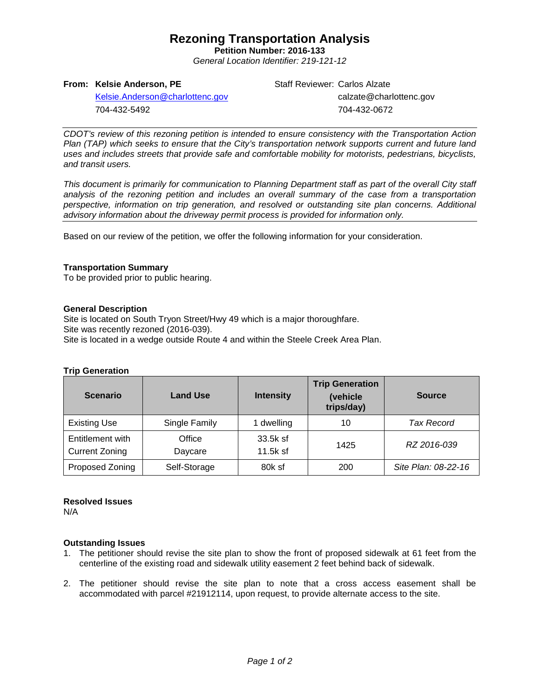## **Rezoning Transportation Analysis**

**Petition Number: 2016-133** *General Location Identifier: 219-121-12*

## **From: Kelsie Anderson, PE**

Staff Reviewer: Carlos Alzate calzate@charlottenc.gov 704-432-0672

[Kelsie.Anderson@charlottenc.gov](mailto:Kelsie.Anderson@charlottenc.gov) 704-432-5492

*CDOT's review of this rezoning petition is intended to ensure consistency with the Transportation Action Plan (TAP) which seeks to ensure that the City's transportation network supports current and future land uses and includes streets that provide safe and comfortable mobility for motorists, pedestrians, bicyclists, and transit users.*

*This document is primarily for communication to Planning Department staff as part of the overall City staff analysis of the rezoning petition and includes an overall summary of the case from a transportation perspective, information on trip generation, and resolved or outstanding site plan concerns. Additional advisory information about the driveway permit process is provided for information only.*

Based on our review of the petition, we offer the following information for your consideration.

### **Transportation Summary**

To be provided prior to public hearing.

### **General Description**

Site is located on South Tryon Street/Hwy 49 which is a major thoroughfare. Site was recently rezoned (2016-039). Site is located in a wedge outside Route 4 and within the Steele Creek Area Plan.

#### **Trip Generation**

| <b>Scenario</b>                           | <b>Land Use</b>   | <b>Intensity</b>       | <b>Trip Generation</b><br>(vehicle<br>trips/day) | <b>Source</b>       |  |
|-------------------------------------------|-------------------|------------------------|--------------------------------------------------|---------------------|--|
| <b>Existing Use</b>                       | Single Family     | 1 dwelling             | 10                                               | Tax Record          |  |
| Entitlement with<br><b>Current Zoning</b> | Office<br>Daycare | 33.5k sf<br>$11.5k$ sf | 1425                                             | RZ 2016-039         |  |
| Proposed Zoning                           | Self-Storage      | 80k sf                 | 200                                              | Site Plan: 08-22-16 |  |

## **Resolved Issues**

N/A

## **Outstanding Issues**

- 1. The petitioner should revise the site plan to show the front of proposed sidewalk at 61 feet from the centerline of the existing road and sidewalk utility easement 2 feet behind back of sidewalk.
- 2. The petitioner should revise the site plan to note that a cross access easement shall be accommodated with parcel #21912114, upon request, to provide alternate access to the site.